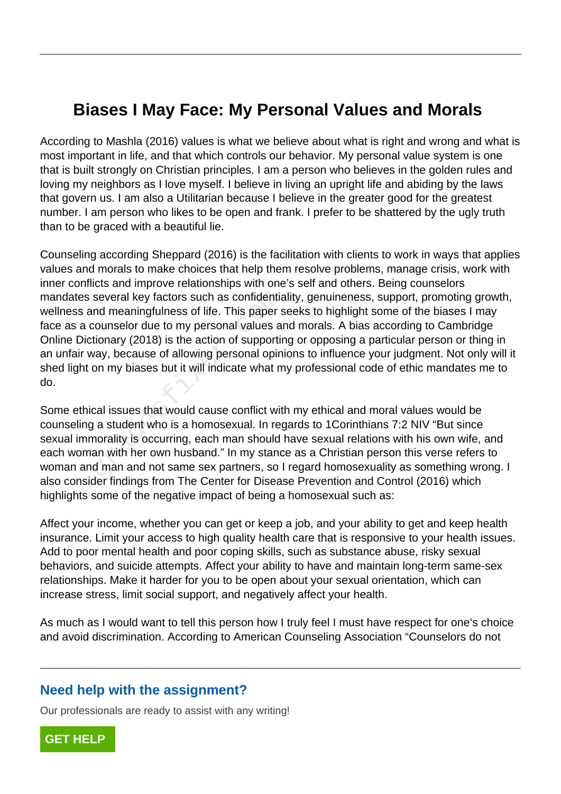## **Biases I May Face: My Personal Values and Morals**

According to Mashla (2016) values is what we believe about what is right and wrong and what is most important in life, and that which controls our behavior. My personal value system is one that is built strongly on Christian principles. I am a person who believes in the golden rules and loving my neighbors as I love myself. I believe in living an upright life and abiding by the laws that govern us. I am also a Utilitarian because I believe in the greater good for the greatest number. I am person who likes to be open and frank. I prefer to be shattered by the ugly truth than to be graced with a beautiful lie.

Counseling according Sheppard (2016) is the facilitation with clients to work in ways that applies values and morals to make choices that help them resolve problems, manage crisis, work with inner conflicts and improve relationships with one's self and others. Being counselors mandates several key factors such as confidentiality, genuineness, support, promoting growth, wellness and meaningfulness of life. This paper seeks to highlight some of the biases I may face as a counselor due to my personal values and morals. A bias according to Cambridge Online Dictionary (2018) is the action of supporting or opposing a particular person or thing in an unfair way, because of allowing personal opinions to influence your judgment. Not only will it shed light on my biases but it will indicate what my professional code of ethic mandates me to do. several key factors such as confidentiand<br>meaningfulness of life. This paper s<br>counselor due to my personal values are<br>tionary (2018) is the action of supportir<br>vay, because of allowing personal opin<br>on my biases but it wi

Some ethical issues that would cause conflict with my ethical and moral values would be counseling a student who is a homosexual. In regards to 1Corinthians 7:2 NIV "But since sexual immorality is occurring, each man should have sexual relations with his own wife, and each woman with her own husband." In my stance as a Christian person this verse refers to woman and man and not same sex partners, so I regard homosexuality as something wrong. I also consider findings from The Center for Disease Prevention and Control (2016) which highlights some of the negative impact of being a homosexual such as:

Affect your income, whether you can get or keep a job, and your ability to get and keep health insurance. Limit your access to high quality health care that is responsive to your health issues. Add to poor mental health and poor coping skills, such as substance abuse, risky sexual behaviors, and suicide attempts. Affect your ability to have and maintain long-term same-sex relationships. Make it harder for you to be open about your sexual orientation, which can increase stress, limit social support, and negatively affect your health.

As much as I would want to tell this person how I truly feel I must have respect for one's choice and avoid discrimination. According to American Counseling Association "Counselors do not

## **Need help with the assignment?**

Our professionals are ready to assist with any writing!

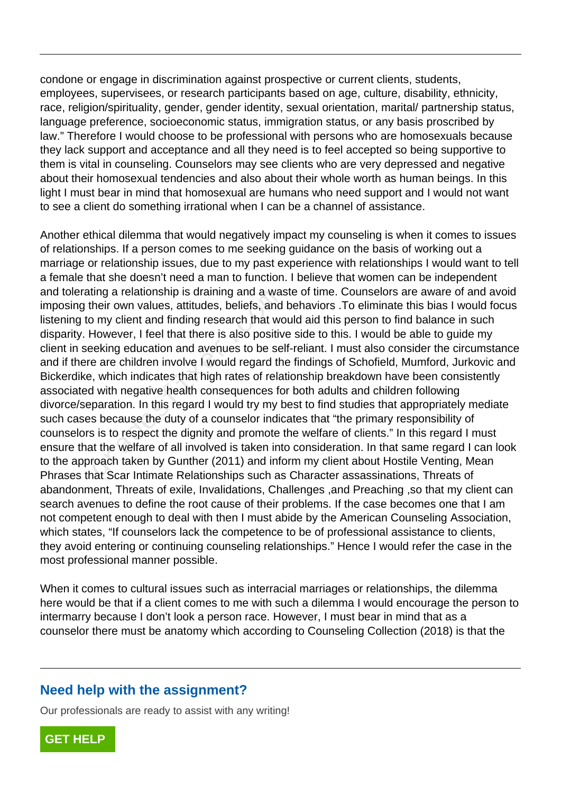condone or engage in discrimination against prospective or current clients, students, employees, supervisees, or research participants based on age, culture, disability, ethnicity, race, religion/spirituality, gender, gender identity, sexual orientation, marital/ partnership status, language preference, socioeconomic status, immigration status, or any basis proscribed by law." Therefore I would choose to be professional with persons who are homosexuals because they lack support and acceptance and all they need is to feel accepted so being supportive to them is vital in counseling. Counselors may see clients who are very depressed and negative about their homosexual tendencies and also about their whole worth as human beings. In this light I must bear in mind that homosexual are humans who need support and I would not want to see a client do something irrational when I can be a channel of assistance.

Another ethical dilemma that would negatively impact my counseling is when it comes to issues of relationships. If a person comes to me seeking guidance on the basis of working out a marriage or relationship issues, due to my past experience with relationships I would want to tell a female that she doesn't need a man to function. I believe that women can be independent and tolerating a relationship is draining and a waste of time. Counselors are aware of and avoid imposing their own values, attitudes, beliefs, and behaviors .To eliminate this bias I would focus listening to my client and finding research that would aid this person to find balance in such disparity. However, I feel that there is also positive side to this. I would be able to guide my client in seeking education and avenues to be self-reliant. I must also consider the circumstance and if there are children involve I would regard the findings of Schofield, Mumford, Jurkovic and Bickerdike, which indicates that high rates of relationship breakdown have been consistently associated with negative health consequences for both adults and children following divorce/separation. In this regard I would try my best to find studies that appropriately mediate such cases because the duty of a counselor indicates that "the primary responsibility of counselors is to respect the dignity and promote the welfare of clients." In this regard I must ensure that the welfare of all involved is taken into consideration. In that same regard I can look to the approach taken by Gunther (2011) and inform my client about Hostile Venting, Mean Phrases that Scar Intimate Relationships such as Character assassinations, Threats of abandonment, Threats of exile, Invalidations, Challenges ,and Preaching ,so that my client can search avenues to define the root cause of their problems. If the case becomes one that I am not competent enough to deal with then I must abide by the American Counseling Association, which states, "If counselors lack the competence to be of professional assistance to clients, they avoid entering or continuing counseling relationships." Hence I would refer the case in the most professional manner possible. Ing a relationship is draining and a was<br>heir own values, attitudes, beliefs, and<br>o my client and finding research that wo<br>However, I feel that there is also positive<br>lexing education and avenues to be se<br>e are children in

When it comes to cultural issues such as interracial marriages or relationships, the dilemma here would be that if a client comes to me with such a dilemma I would encourage the person to intermarry because I don't look a person race. However, I must bear in mind that as a counselor there must be anatomy which according to Counseling Collection (2018) is that the

## **Need help with the assignment?**

Our professionals are ready to assist with any writing!